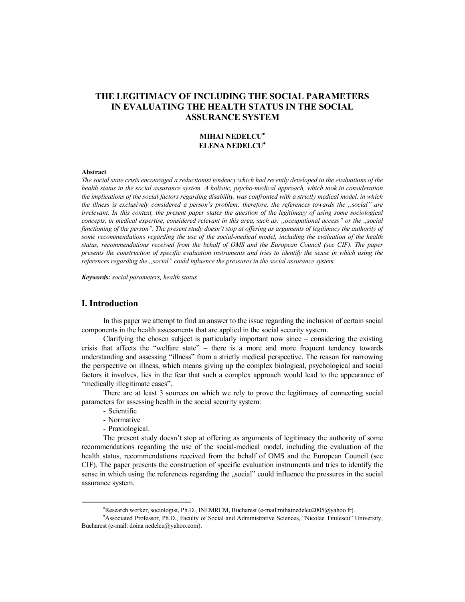# **THE LEGITIMACY OF INCLUDING THE SOCIAL PARAMETERS IN EVALUATING THE HEALTH STATUS IN THE SOCIAL ASSURANCE SYSTEM**

### **MIHAI NEDELCU ELENA NEDELCU**

#### **Abstract**

*The social state crisis encouraged a reductionist tendency which had recently developed in the evaluations of the health status in the social assurance system. A holistic, psycho-medical approach, which took in consideration the implications of the social factors regarding disability, was confronted with a strictly medical model, in which the illness is exclusively considered a person's problem; therefore, the references towards the "social" are irrelevant. In this context, the present paper states the question of the legitimacy of using some sociological concepts, in medical expertise, considered relevant in this area, such as: "occupational access" or the "social functioning of the person". The present study doesn't stop at offering as arguments of legitimacy the authority of some recommendations regarding the use of the social-medical model, including the evaluation of the health status, recommendations received from the behalf of OMS and the European Council (see CIF). The paper presents the construction of specific evaluation instruments and tries to identify the sense in which using the references regarding the "social" could influence the pressures in the social assurance system.* 

*Keywords: social parameters, health status*

# **I. Introduction**

In this paper we attempt to find an answer to the issue regarding the inclusion of certain social components in the health assessments that are applied in the social security system.

Clarifying the chosen subject is particularly important now since – considering the existing crisis that affects the "welfare state" – there is a more and more frequent tendency towards understanding and assessing "illness" from a strictly medical perspective. The reason for narrowing the perspective on illness, which means giving up the complex biological, psychological and social factors it involves, lies in the fear that such a complex approach would lead to the appearance of "medically illegitimate cases".

There are at least 3 sources on which we rely to prove the legitimacy of connecting social parameters for assessing health in the social security system:

- Scientific
- Normative
- Praxiological.

The present study doesn't stop at offering as arguments of legitimacy the authority of some recommendations regarding the use of the social-medical model, including the evaluation of the health status, recommendations received from the behalf of OMS and the European Council (see CIF). The paper presents the construction of specific evaluation instruments and tries to identify the sense in which using the references regarding the "social" could influence the pressures in the social assurance system.

Research worker, sociologist, Ph.D., INEMRCM, Bucharest (e-mail:mihainedelcu2005@yahoo fr).

Associated Professor, Ph.D., Faculty of Social and Administrative Sciences, "Nicolae Titulescu" University, Bucharest (e-mail: doina nedelcu@yahoo.com).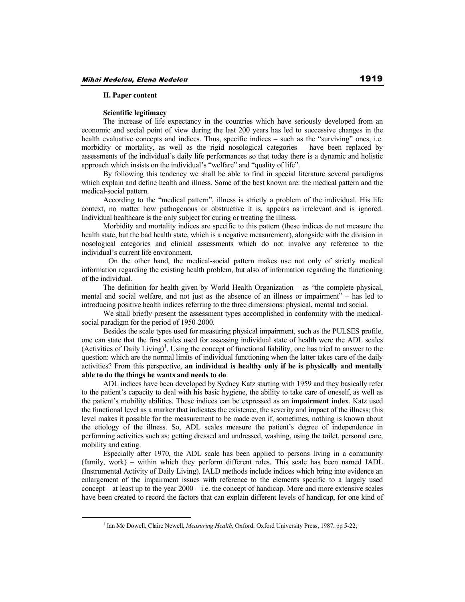#### **II. Paper content**

#### **Scientific legitimacy**

The increase of life expectancy in the countries which have seriously developed from an economic and social point of view during the last 200 years has led to successive changes in the health evaluative concepts and indices. Thus, specific indices – such as the "surviving" ones, i.e. morbidity or mortality, as well as the rigid nosological categories – have been replaced by assessments of the individual's daily life performances so that today there is a dynamic and holistic approach which insists on the individual's "welfare" and "quality of life".

By following this tendency we shall be able to find in special literature several paradigms which explain and define health and illness. Some of the best known are: the medical pattern and the medical-social pattern.

According to the "medical pattern", illness is strictly a problem of the individual. His life context, no matter how pathogenous or obstructive it is, appears as irrelevant and is ignored. Individual healthcare is the only subject for curing or treating the illness.

Morbidity and mortality indices are specific to this pattern (these indices do not measure the health state, but the bad health state, which is a negative measurement), alongside with the division in nosological categories and clinical assessments which do not involve any reference to the individual's current life environment.

 On the other hand, the medical-social pattern makes use not only of strictly medical information regarding the existing health problem, but also of information regarding the functioning of the individual.

The definition for health given by World Health Organization – as "the complete physical, mental and social welfare, and not just as the absence of an illness or impairment" – has led to introducing positive health indices referring to the three dimensions: physical, mental and social.

We shall briefly present the assessment types accomplished in conformity with the medicalsocial paradigm for the period of 1950-2000.

Besides the scale types used for measuring physical impairment, such as the PULSES profile, one can state that the first scales used for assessing individual state of health were the ADL scales (Activities of Daily Living)<sup>1</sup>. Using the concept of functional liability, one has tried to answer to the question: which are the normal limits of individual functioning when the latter takes care of the daily activities? From this perspective, **an individual is healthy only if he is physically and mentally able to do the things he wants and needs to do**.

ADL indices have been developed by Sydney Katz starting with 1959 and they basically refer to the patient's capacity to deal with his basic hygiene, the ability to take care of oneself, as well as the patient's mobility abilities. These indices can be expressed as an **impairment index**. Katz used the functional level as a marker that indicates the existence, the severity and impact of the illness; this level makes it possible for the measurement to be made even if, sometimes, nothing is known about the etiology of the illness. So, ADL scales measure the patient's degree of independence in performing activities such as: getting dressed and undressed, washing, using the toilet, personal care, mobility and eating.

Especially after 1970, the ADL scale has been applied to persons living in a community (family, work) – within which they perform different roles. This scale has been named IADL (Instrumental Activity of Daily Living). IALD methods include indices which bring into evidence an enlargement of the impairment issues with reference to the elements specific to a largely used concept – at least up to the year  $2000 - i.e.$  the concept of handicap. More and more extensive scales have been created to record the factors that can explain different levels of handicap, for one kind of

<sup>&</sup>lt;sup>1</sup> Ian Mc Dowell, Claire Newell, *Measuring Health*, Oxford: Oxford University Press, 1987, pp 5-22;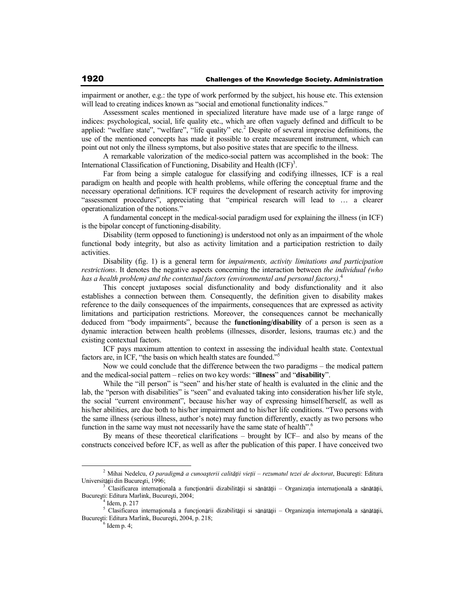impairment or another, e.g.: the type of work performed by the subject, his house etc. This extension will lead to creating indices known as "social and emotional functionality indices."

Assessment scales mentioned in specialized literature have made use of a large range of indices: psychological, social, life quality etc., which are often vaguely defined and difficult to be applied: "welfare state", "welfare", "life quality" etc.<sup>2</sup> Despite of several imprecise definitions, the use of the mentioned concepts has made it possible to create measurement instrument, which can point out not only the illness symptoms, but also positive states that are specific to the illness.

A remarkable valorization of the medico-social pattern was accomplished in the book: The International Classification of Functioning, Disability and Health  $(ICF)^3$ .

Far from being a simple catalogue for classifying and codifying illnesses, ICF is a real paradigm on health and people with health problems, while offering the conceptual frame and the necessary operational definitions. ICF requires the development of research activity for improving "assessment procedures", appreciating that "empirical research will lead to … a clearer operationalization of the notions."

A fundamental concept in the medical-social paradigm used for explaining the illness (in ICF) is the bipolar concept of functioning-disability.

Disability (term opposed to functioning) is understood not only as an impairment of the whole functional body integrity, but also as activity limitation and a participation restriction to daily activities.

Disability (fig. 1) is a general term for *impairments, activity limitations and participation restrictions*. It denotes the negative aspects concerning the interaction between *the individual (who has a health problem) and the contextual factors (environmental and personal factors)*. 4

This concept juxtaposes social disfunctionality and body disfunctionality and it also establishes a connection between them. Consequently, the definition given to disability makes reference to the daily consequences of the impairments, consequences that are expressed as activity limitations and participation restrictions. Moreover, the consequences cannot be mechanically deduced from "body impairments", because the **functioning/disability** of a person is seen as a dynamic interaction between health problems (illnesses, disorder, lesions, traumas etc.) and the existing contextual factors.

ICF pays maximum attention to context in assessing the individual health state. Contextual factors are, in ICF, "the basis on which health states are founded."<sup>5</sup>

Now we could conclude that the difference between the two paradigms – the medical pattern and the medical-social pattern – relies on two key words: "**illness**" and "**disability**".

While the "ill person" is "seen" and his/her state of health is evaluated in the clinic and the lab, the "person with disabilities" is "seen" and evaluated taking into consideration his/her life style, the social "current environment", because his/her way of expressing himself/herself, as well as his/her abilities, are due both to his/her impairment and to his/her life conditions. "Two persons with the same illness (serious illness, author's note) may function differently, exactly as two persons who function in the same way must not necessarily have the same state of health".<sup>6</sup>

By means of these theoretical clarifications – brought by ICF– and also by means of the constructs conceived before ICF, as well as after the publication of this paper. I have conceived two

<sup>&</sup>lt;sup>2</sup> Mihai Nedelcu, *O paradigmă a cunoașterii calității vieții – rezumatul tezei de doctorat, București: Editura* Universității din București, 1996;

<sup>3</sup> Clasificarea internațională a funcționării dizabilității si sănătății – Organizația internațională a sănătății, București: Editura Marlink, București, 2004;

<sup>4</sup> Idem, p. 217

<sup>&</sup>lt;sup>5</sup> Clasificarea internațională a funcționării dizabilității si sănătății – Organizația internațională a sănătății, București: Editura Marlink, București, 2004, p. 218;

 $6$  Idem p. 4;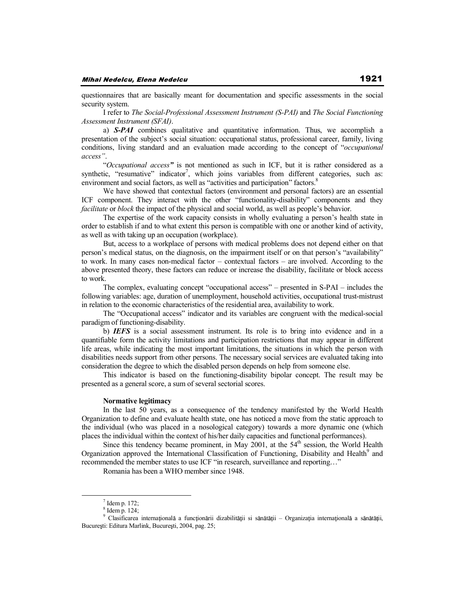questionnaires that are basically meant for documentation and specific assessments in the social security system.

I refer to *The Social-Professional Assessment Instrument (S-PAI)* and *The Social Functioning Assessment Instrument (SFAI)*.

a) *S-PAI* combines qualitative and quantitative information. Thus, we accomplish a presentation of the subject's social situation: occupational status, professional career, family, living conditions, living standard and an evaluation made according to the concept of "*occupational access"*.

"*Occupational access"* is not mentioned as such in ICF, but it is rather considered as a synthetic, "resumative" indicator<sup>7</sup>, which joins variables from different categories, such as: environment and social factors, as well as "activities and participation" factors.<sup>8</sup>

We have showed that contextual factors (environment and personal factors) are an essential ICF component. They interact with the other "functionality-disability" components and they *facilitate* or *block* the impact of the physical and social world, as well as people's behavior.

The expertise of the work capacity consists in wholly evaluating a person's health state in order to establish if and to what extent this person is compatible with one or another kind of activity, as well as with taking up an occupation (workplace).

But, access to a workplace of persons with medical problems does not depend either on that person's medical status, on the diagnosis, on the impairment itself or on that person's "availability" to work. In many cases non-medical factor – contextual factors – are involved. According to the above presented theory, these factors can reduce or increase the disability, facilitate or block access to work.

The complex, evaluating concept "occupational access" – presented in S-PAI – includes the following variables: age, duration of unemployment, household activities, occupational trust-mistrust in relation to the economic characteristics of the residential area, availability to work.

The "Occupational access" indicator and its variables are congruent with the medical-social paradigm of functioning-disability.

b) *IEFS* is a social assessment instrument. Its role is to bring into evidence and in a quantifiable form the activity limitations and participation restrictions that may appear in different life areas, while indicating the most important limitations, the situations in which the person with disabilities needs support from other persons. The necessary social services are evaluated taking into consideration the degree to which the disabled person depends on help from someone else.

This indicator is based on the functioning-disability bipolar concept. The result may be presented as a general score, a sum of several sectorial scores.

#### **Normative legitimacy**

In the last 50 years, as a consequence of the tendency manifested by the World Health Organization to define and evaluate health state, one has noticed a move from the static approach to the individual (who was placed in a nosological category) towards a more dynamic one (which places the individual within the context of his/her daily capacities and functional performances).

Since this tendency became prominent, in May 2001, at the  $54<sup>th</sup>$  session, the World Health Organization approved the International Classification of Functioning, Disability and Health<sup>9</sup> and recommended the member states to use ICF "in research, surveillance and reporting…"

Romania has been a WHO member since 1948.

 $<sup>7</sup>$  Idem p. 172;</sup>

<sup>8</sup> Idem p. 124;

<sup>&</sup>lt;sup>9</sup> Clasificarea internațională a funcționării dizabilității si sănătății – Organizația internațională a sănătății, București: Editura Marlink, București, 2004, pag. 25;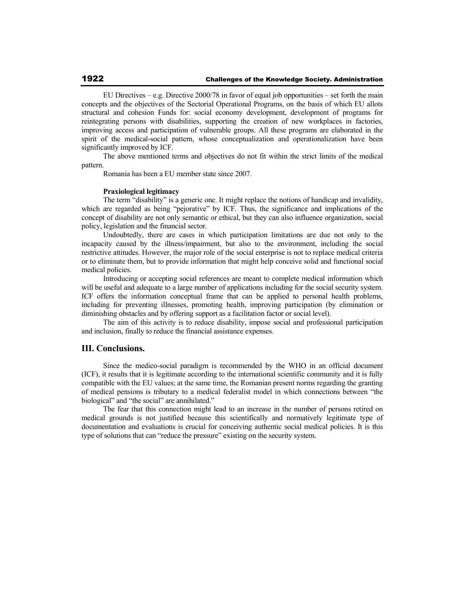EU Directives – e.g. Directive 2000/78 in favor of equal job opportunities – set forth the main concepts and the objectives of the Sectorial Operational Programs, on the basis of which EU allots structural and cohesion Funds for: social economy development, development of programs for reintegrating persons with disabilities, supporting the creation of new workplaces in factories, improving access and participation of vulnerable groups. All these programs are elaborated in the spirit of the medical-social pattern, whose conceptualization and operationalization have been significantly improved by ICF.

The above mentioned terms and objectives do not fit within the strict limits of the medical pattern.

Romania has been a EU member state since 2007.

#### **Praxiological legitimacy**

The term "disability" is a generic one. It might replace the notions of handicap and invalidity, which are regarded as being "pejorative" by ICF. Thus, the significance and implications of the concept of disability are not only semantic or ethical, but they can also influence organization, social policy, legislation and the financial sector.

Undoubtedly, there are cases in which participation limitations are due not only to the incapacity caused by the illness/impairment, but also to the environment, including the social restrictive attitudes. However, the major role of the social enterprise is not to replace medical criteria or to eliminate them, but to provide information that might help conceive solid and functional social medical policies.

Introducing or accepting social references are meant to complete medical information which will be useful and adequate to a large number of applications including for the social security system. ICF offers the information conceptual frame that can be applied to personal health problems, including for preventing illnesses, promoting health, improving participation (by elimination or diminishing obstacles and by offering support as a facilitation factor or social level).

The aim of this activity is to reduce disability, impose social and professional participation and inclusion, finally to reduce the financial assistance expenses.

## **III. Conclusions.**

Since the medico-social paradigm is recommended by the WHO in an official document (ICF), it results that it is legitimate according to the international scientific community and it is fully compatible with the EU values; at the same time, the Romanian present norms regarding the granting of medical pensions is tributary to a medical federalist model in which connections between "the biological" and "the social" are annihilated."

The fear that this connection might lead to an increase in the number of persons retired on medical grounds is not justified because this scientifically and normatively legitimate type of documentation and evaluations is crucial for conceiving authentic social medical policies. It is this type of solutions that can "reduce the pressure" existing on the security system.